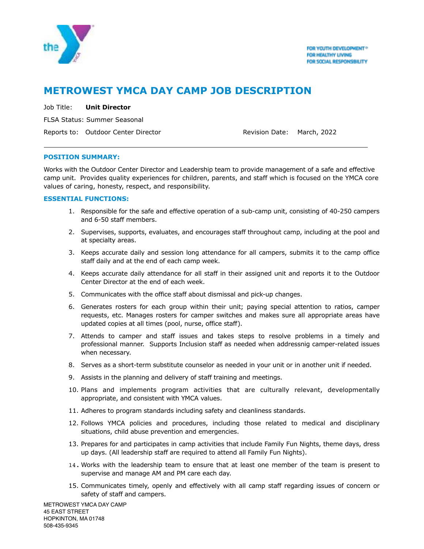

# **METROWEST YMCA DAY CAMP JOB DESCRIPTION**

Job Title: **Unit Director**

FLSA Status: Summer Seasonal

Reports to: Outdoor Center Director **Revision Date: March, 2022** 

## **POSITION SUMMARY:**

 $\overline{a}$ 

Works with the Outdoor Center Director and Leadership team to provide management of a safe and effective camp unit. Provides quality experiences for children, parents, and staff which is focused on the YMCA core values of caring, honesty, respect, and responsibility.

## **ESSENTIAL FUNCTIONS:**

- 1. Responsible for the safe and effective operation of a sub-camp unit, consisting of 40-250 campers and 6-50 staff members.
- 2. Supervises, supports, evaluates, and encourages staff throughout camp, including at the pool and at specialty areas.
- 3. Keeps accurate daily and session long attendance for all campers, submits it to the camp office staff daily and at the end of each camp week.
- 4. Keeps accurate daily attendance for all staff in their assigned unit and reports it to the Outdoor Center Director at the end of each week.
- 5. Communicates with the office staff about dismissal and pick-up changes.
- 6. Generates rosters for each group within their unit; paying special attention to ratios, camper requests, etc. Manages rosters for camper switches and makes sure all appropriate areas have updated copies at all times (pool, nurse, office staff).
- 7. Attends to camper and staff issues and takes steps to resolve problems in a timely and professional manner. Supports Inclusion staff as needed when addressnig camper-related issues when necessary.
- 8. Serves as a short-term substitute counselor as needed in your unit or in another unit if needed.
- 9. Assists in the planning and delivery of staff training and meetings.
- 10. Plans and implements program activities that are culturally relevant, developmentally appropriate, and consistent with YMCA values.
- 11. Adheres to program standards including safety and cleanliness standards.
- 12. Follows YMCA policies and procedures, including those related to medical and disciplinary situations, child abuse prevention and emergencies.
- 13. Prepares for and participates in camp activities that include Family Fun Nights, theme days, dress up days. (All leadership staff are required to attend all Family Fun Nights).
- 14. Works with the leadership team to ensure that at least one member of the team is present to supervise and manage AM and PM care each day.
- 15. Communicates timely, openly and effectively with all camp staff regarding issues of concern or safety of staff and campers.